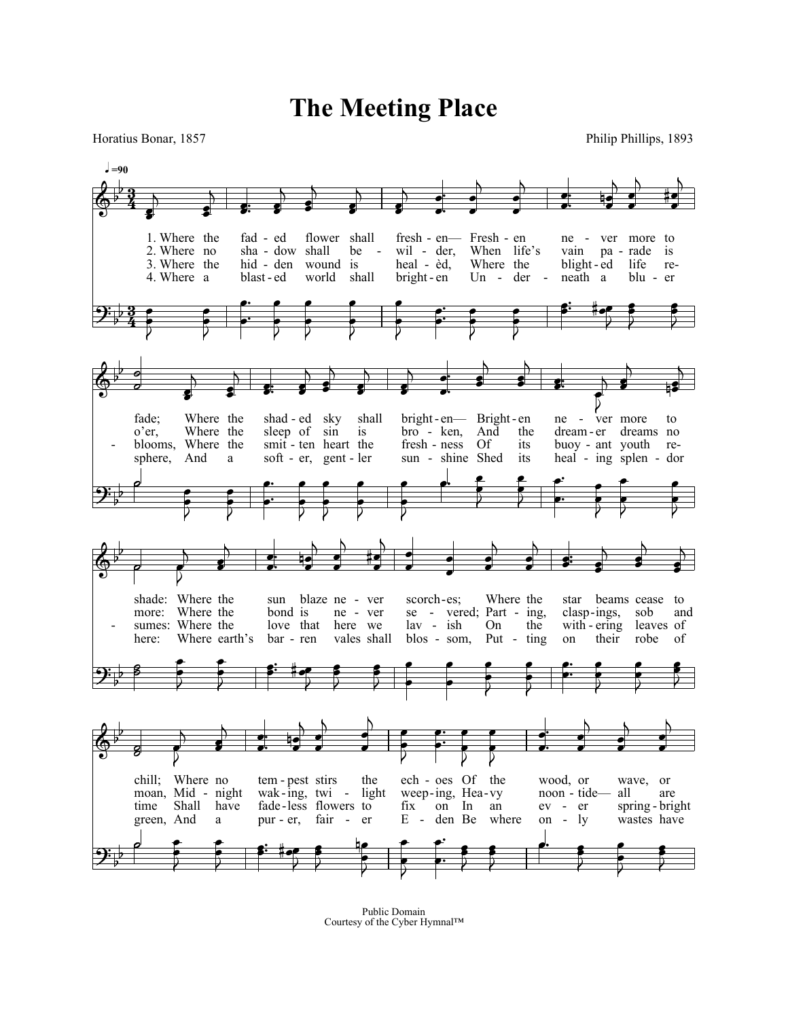## **The Meeting Place**

Horatius Bonar, 1857 Philip Phillips, 1893



Public Domain Courtesy of the Cyber Hymnal™